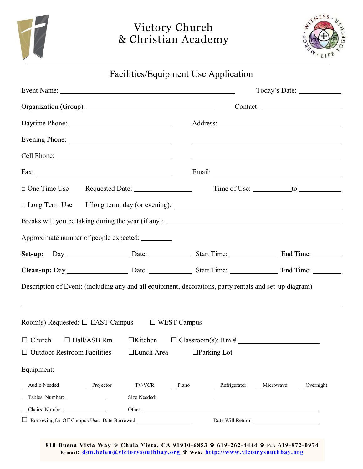



Facilities/Equipment Use Application

|                                                                                                        |  | Today's Date:                                                                                                         |  |  |  |  |
|--------------------------------------------------------------------------------------------------------|--|-----------------------------------------------------------------------------------------------------------------------|--|--|--|--|
|                                                                                                        |  |                                                                                                                       |  |  |  |  |
|                                                                                                        |  |                                                                                                                       |  |  |  |  |
|                                                                                                        |  | <u> 1989 - Johann Barnett, fransk politiker (d. 1989)</u>                                                             |  |  |  |  |
|                                                                                                        |  | <u> 1989 - Johann Harry Harry Harry Harry Harry Harry Harry Harry Harry Harry Harry Harry Harry Harry Harry Harry</u> |  |  |  |  |
|                                                                                                        |  |                                                                                                                       |  |  |  |  |
|                                                                                                        |  |                                                                                                                       |  |  |  |  |
| $\Box$ Long Term Use                                                                                   |  |                                                                                                                       |  |  |  |  |
|                                                                                                        |  |                                                                                                                       |  |  |  |  |
| Approximate number of people expected: ________                                                        |  |                                                                                                                       |  |  |  |  |
|                                                                                                        |  |                                                                                                                       |  |  |  |  |
|                                                                                                        |  |                                                                                                                       |  |  |  |  |
| Description of Event: (including any and all equipment, decorations, party rentals and set-up diagram) |  |                                                                                                                       |  |  |  |  |
|                                                                                                        |  |                                                                                                                       |  |  |  |  |
| Room(s) Requested: $\Box$ EAST Campus $\Box$ WEST Campus                                               |  |                                                                                                                       |  |  |  |  |
| $\Box$ Church                                                                                          |  |                                                                                                                       |  |  |  |  |
| $\Box$ Outdoor Restroom Facilities $\Box$ Lunch Area $\Box$ Parking Lot                                |  |                                                                                                                       |  |  |  |  |
| Equipment:                                                                                             |  |                                                                                                                       |  |  |  |  |
| _ Audio Needed<br>$\overline{\phantom{a}}$ Projector                                                   |  | _TV/VCR __ Piano __ Refrigerator __ Microwave __ Overnight                                                            |  |  |  |  |
|                                                                                                        |  |                                                                                                                       |  |  |  |  |
| Chairs: Number:                                                                                        |  |                                                                                                                       |  |  |  |  |
| □ Borrowing for Off Campus Use: Date Borrowed __________________________________                       |  |                                                                                                                       |  |  |  |  |

**810 Buena Vista Way Chula Vista, CA 91910-6853 619-262-4444 Fax 619-872-0974 E- ma il: [don.heien@victorysouthbay. org](mailto:don.heien@victorysouthbay.org) We b: [http://www. victorysouthbay. org](http://www.victorysouthbay.org/)**